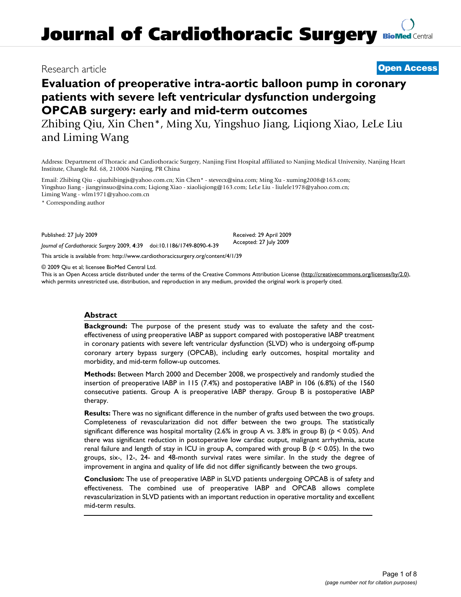# Research article **[Open Access](http://www.biomedcentral.com/info/about/charter/)**

# **Evaluation of preoperative intra-aortic balloon pump in coronary patients with severe left ventricular dysfunction undergoing OPCAB surgery: early and mid-term outcomes**

Zhibing Qiu, Xin Chen\*, Ming Xu, Yingshuo Jiang, Liqiong Xiao, LeLe Liu and Liming Wang

Address: Department of Thoracic and Cardiothoracic Surgery, Nanjing First Hospital affiliated to Nanjing Medical University, Nanjing Heart Institute, Changle Rd. 68, 210006 Nanjing, PR China

Email: Zhibing Qiu - qiuzhibingjs@yahoo.com.cn; Xin Chen\* - stevecx@sina.com; Ming Xu - xuming2008@163.com; Yingshuo Jiang - jiangyinsuo@sina.com; Liqiong Xiao - xiaoliqiong@163.com; LeLe Liu - liulele1978@yahoo.com.cn; Liming Wang - wlm1971@yahoo.com.cn

\* Corresponding author

Published: 27 July 2009

*Journal of Cardiothoracic Surgery* 2009, **4**:39 doi:10.1186/1749-8090-4-39

[This article is available from: http://www.cardiothoracicsurgery.org/content/4/1/39](http://www.cardiothoracicsurgery.org/content/4/1/39)

© 2009 Qiu et al; licensee BioMed Central Ltd.

This is an Open Access article distributed under the terms of the Creative Commons Attribution License [\(http://creativecommons.org/licenses/by/2.0\)](http://creativecommons.org/licenses/by/2.0), which permits unrestricted use, distribution, and reproduction in any medium, provided the original work is properly cited.

Received: 29 April 2009 Accepted: 27 July 2009

#### **Abstract**

**Background:** The purpose of the present study was to evaluate the safety and the costeffectiveness of using preoperative IABP as support compared with postoperative IABP treatment in coronary patients with severe left ventricular dysfunction (SLVD) who is undergoing off-pump coronary artery bypass surgery (OPCAB), including early outcomes, hospital mortality and morbidity, and mid-term follow-up outcomes.

**Methods:** Between March 2000 and December 2008, we prospectively and randomly studied the insertion of preoperative IABP in 115 (7.4%) and postoperative IABP in 106 (6.8%) of the 1560 consecutive patients. Group A is preoperative IABP therapy. Group B is postoperative IABP therapy.

**Results:** There was no significant difference in the number of grafts used between the two groups. Completeness of revascularization did not differ between the two groups. The statistically significant difference was hospital mortality (2.6% in group A vs. 3.8% in group B) (*p* < 0.05). And there was significant reduction in postoperative low cardiac output, malignant arrhythmia, acute renal failure and length of stay in ICU in group A, compared with group B (*p* < 0.05). In the two groups, six-, 12-, 24- and 48-month survival rates were similar. In the study the degree of improvement in angina and quality of life did not differ significantly between the two groups.

**Conclusion:** The use of preoperative IABP in SLVD patients undergoing OPCAB is of safety and effectiveness. The combined use of preoperative IABP and OPCAB allows complete revascularization in SLVD patients with an important reduction in operative mortality and excellent mid-term results.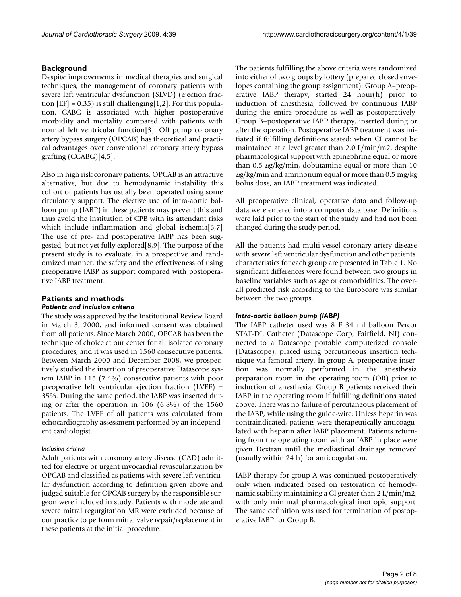# **Background**

Despite improvements in medical therapies and surgical techniques, the management of coronary patients with severe left ventricular dysfunction (SLVD) (ejection fraction  $[EF] = 0.35$ ) is still challenging [1,2]. For this population, CABG is associated with higher postoperative morbidity and mortality compared with patients with normal left ventricular function[3]. Off pump coronary artery bypass surgery (OPCAB) has theoretical and practical advantages over conventional coronary artery bypass grafting (CCABG)[4,5].

Also in high risk coronary patients, OPCAB is an attractive alternative, but due to hemodynamic instability this cohort of patients has usually been operated using some circulatory support. The elective use of intra-aortic balloon pump (IABP) in these patients may prevent this and thus avoid the institution of CPB with its attendant risks which include inflammation and global ischemia[6,7] The use of pre- and postoperative IABP has been suggested, but not yet fully explored[8,9]. The purpose of the present study is to evaluate, in a prospective and randomized manner, the safety and the effectiveness of using preoperative IABP as support compared with postoperative IABP treatment.

#### **Patients and methods** *Patients and inclusion criteria*

The study was approved by the Institutional Review Board in March 3, 2000, and informed consent was obtained from all patients. Since March 2000, OPCAB has been the technique of choice at our center for all isolated coronary procedures, and it was used in 1560 consecutive patients. Between March 2000 and December 2008, we prospectively studied the insertion of preoperative Datascope system IABP in 115 (7.4%) consecutive patients with poor preoperative left ventricular ejection fraction (LVEF) = 35%. During the same period, the IABP was inserted during or after the operation in 106 (6.8%) of the 1560 patients. The LVEF of all patients was calculated from echocardiography assessment performed by an independent cardiologist.

# *Inclusion criteria*

Adult patients with coronary artery disease (CAD) admitted for elective or urgent myocardial revascularization by OPCAB and classified as patients with severe left ventricular dysfunction according to definition given above and judged suitable for OPCAB surgery by the responsible surgeon were included in study. Patients with moderate and severe mitral regurgitation MR were excluded because of our practice to perform mitral valve repair/replacement in these patients at the initial procedure.

The patients fulfilling the above criteria were randomized into either of two groups by lottery (prepared closed envelopes containing the group assignment): Group A–preoperative IABP therapy, started 24 hour(h) prior to induction of anesthesia, followed by continuous IABP during the entire procedure as well as postoperatively. Group B–postoperative IABP therapy, inserted during or after the operation. Postoperative IABP treatment was initiated if fulfilling definitions stated: when CI cannot be maintained at a level greater than 2.0 L/min/m2, despite pharmacological support with epinephrine equal or more than 0.5  $\mu$ g/kg/min, dobutamine equal or more than 10  $\mu$ g/kg/min and amrinonum equal or more than 0.5 mg/kg bolus dose, an IABP treatment was indicated.

All preoperative clinical, operative data and follow-up data were entered into a computer data base. Definitions were laid prior to the start of the study and had not been changed during the study period.

All the patients had multi-vessel coronary artery disease with severe left ventricular dysfunction and other patients' characteristics for each group are presented in Table 1. No significant differences were found between two groups in baseline variables such as age or comorbidities. The overall predicted risk according to the EuroScore was similar between the two groups.

#### *Intra-aortic balloon pump (IABP)*

The IABP catheter used was 8 F 34 ml balloon Percor STAT-DL Catheter (Datascope Corp, Fairfield, NJ) connected to a Datascope portable computerized console (Datascope), placed using percutaneous insertion technique via femoral artery. In group A, preoperative insertion was normally performed in the anesthesia preparation room in the operating room (OR) prior to induction of anesthesia. Group B patients received their IABP in the operating room if fulfilling definitions stated above. There was no failure of percutaneous placement of the IABP, while using the guide-wire. Unless heparin was contraindicated, patients were therapeutically anticoagulated with heparin after IABP placement. Patients returning from the operating room with an IABP in place were given Dextran until the mediastinal drainage removed (usually within 24 h) for anticoagulation.

IABP therapy for group A was continued postoperatively only when indicated based on restoration of hemodynamic stability maintaining a CI greater than 2 L/min/m2, with only minimal pharmacological inotropic support. The same definition was used for termination of postoperative IABP for Group B.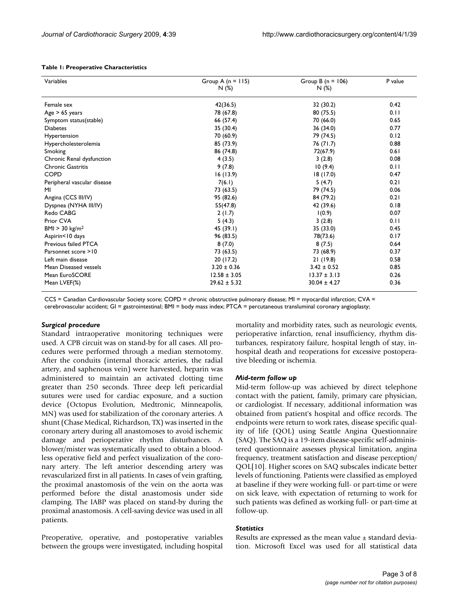#### **Table 1: Preoperative Characteristics**

| Variables                    | Group A $(n = 115)$<br>N (%) | Group $B(n = 106)$<br>N(%) | P value |
|------------------------------|------------------------------|----------------------------|---------|
| Female sex                   | 42(36.5)                     | 32 (30.2)                  | 0.42    |
| Age > 65 years               | 78 (67.8)                    | 80 (75.5)                  | 0.11    |
| Symptom status(stable)       | 66 (57.4)                    | 70 (66.0)                  | 0.65    |
| <b>Diabetes</b>              | 35 (30.4)                    | 36 (34.0)                  | 0.77    |
| Hypertension                 | 70 (60.9)                    | 79 (74.5)                  | 0.12    |
| Hypercholesterolemia         | 85 (73.9)                    | 76 (71.7)                  | 0.88    |
| Smoking                      | 86 (74.8)                    | 72(67.9)                   | 0.61    |
| Chronic Renal dysfunction    | 4(3.5)                       | 3(2.8)                     | 0.08    |
| <b>Chronic Gastritis</b>     | 9(7.8)                       | 10(9.4)                    | 0.11    |
| <b>COPD</b>                  | 16(13.9)                     | 18(17.0)                   | 0.47    |
| Peripheral vascular disease  | 7(6.1)                       | 5(4.7)                     | 0.21    |
| MI                           | 73 (63.5)                    | 79 (74.5)                  | 0.06    |
| Angina (CCS III/IV)          | 95 (82.6)                    | 84 (79.2)                  | 0.21    |
| Dyspnea (NYHA III/IV)        | 55(47.8)                     | 42 (39.6)                  | 0.18    |
| Redo CABG                    | 2(1.7)                       | 1(0.9)                     | 0.07    |
| Prior CVA                    | 5(4.3)                       | 3(2.8)                     | 0.11    |
| $BMI > 30$ kg/m <sup>2</sup> | 45 (39.1)                    | 35 (33.0)                  | 0.45    |
| Aspirin<10 days              | 96 (83.5)                    | 78(73.6)                   | 0.17    |
| Previous failed PTCA         | 8(7.0)                       | 8(7.5)                     | 0.64    |
| Parsonnet score >10          | 73 (63.5)                    | 73 (68.9)                  | 0.37    |
| Left main disease            | 20 (17.2)                    | 21(19.8)                   | 0.58    |
| Mean Diseased vessels        | $3.20 \pm 0.36$              | $3.42 \pm 0.52$            | 0.85    |
| Mean EuroSCORE               | $12.58 \pm 3.05$             | $13.37 \pm 3.13$           | 0.26    |
| Mean LVEF(%)                 | $29.62 \pm 5.32$             | $30.04 \pm 4.27$           | 0.36    |

CCS = Canadian Cardiovascular Society score; COPD = chronic obstructive pulmonary disease; MI = myocardial infarction; CVA = cerebrovascular accident; GI = gastrointestinal; BMI = body mass index; PTCA = percutaneous transluminal coronary angioplasty;

#### *Surgical procedure*

Standard intraoperative monitoring techniques were used. A CPB circuit was on stand-by for all cases. All procedures were performed through a median sternotomy. After the conduits (internal thoracic arteries, the radial artery, and saphenous vein) were harvested, heparin was administered to maintain an activated clotting time greater than 250 seconds. Three deep left pericardial sutures were used for cardiac exposure, and a suction device (Octopus Evolution, Medtronic, Minneapolis, MN) was used for stabilization of the coronary arteries. A shunt (Chase Medical, Richardson, TX) was inserted in the coronary artery during all anastomoses to avoid ischemic damage and perioperative rhythm disturbances. A blower/mister was systematically used to obtain a bloodless operative field and perfect visualization of the coronary artery. The left anterior descending artery was revascularized first in all patients. In cases of vein grafting, the proximal anastomosis of the vein on the aorta was performed before the distal anastomosis under side clamping. The IABP was placed on stand-by during the proximal anastomosis. A cell-saving device was used in all patients.

Preoperative, operative, and postoperative variables between the groups were investigated, including hospital

mortality and morbidity rates, such as neurologic events, perioperative infarction, renal insufficiency, rhythm disturbances, respiratory failure, hospital length of stay, inhospital death and reoperations for excessive postoperative bleeding or ischemia.

#### *Mid-term follow up*

Mid-term follow-up was achieved by direct telephone contact with the patient, family, primary care physician, or cardiologist. If necessary, additional information was obtained from patient's hospital and office records. The endpoints were return to work rates, disease specific quality of life (QOL) using Seattle Angina Questionnaire (SAQ). The SAQ is a 19-item disease-specific self-administered questionnaire assesses physical limitation, angina frequency, treatment satisfaction and disease perception/ QOL[10]. Higher scores on SAQ subscales indicate better levels of functioning. Patients were classified as employed at baseline if they were working full- or part-time or were on sick leave, with expectation of returning to work for such patients was defined as working full- or part-time at follow-up.

#### *Statistics*

Results are expressed as the mean value  $\pm$  standard deviation. Microsoft Excel was used for all statistical data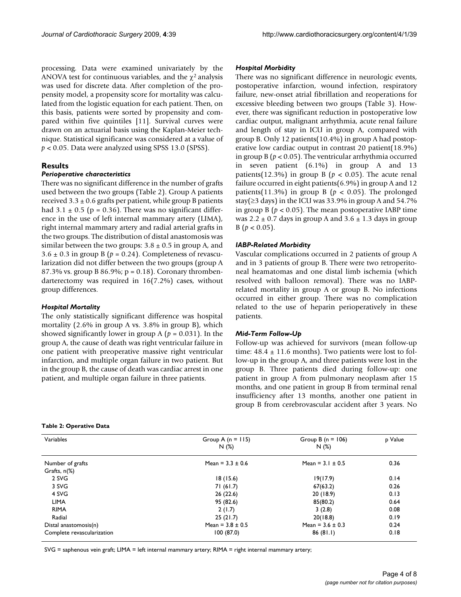processing. Data were examined univariately by the ANOVA test for continuous variables, and the  $\chi^2$  analysis was used for discrete data. After completion of the propensity model, a propensity score for mortality was calculated from the logistic equation for each patient. Then, on this basis, patients were sorted by propensity and compared within five quintiles [11]. Survival curves were drawn on an actuarial basis using the Kaplan-Meier technique. Statistical significance was considered at a value of *p* < 0.05. Data were analyzed using SPSS 13.0 (SPSS).

### **Results**

#### *Perioperative characteristics*

There was no significant difference in the number of grafts used between the two groups (Table 2). Group A patients received  $3.3 \pm 0.6$  grafts per patient, while group B patients had  $3.1 \pm 0.5$  (p = 0.36). There was no significant difference in the use of left internal mammary artery (LIMA), right internal mammary artery and radial arterial grafts in the two groups. The distribution of distal anastomosis was similar between the two groups:  $3.8 \pm 0.5$  in group A, and  $3.6 \pm 0.3$  in group B ( $p = 0.24$ ). Completeness of revascularization did not differ between the two groups (group A 87.3% vs. group B 86.9%;  $p = 0.18$ ). Coronary thrombendarterectomy was required in 16(7.2%) cases, without group differences.

#### *Hospital Mortality*

The only statistically significant difference was hospital mortality (2.6% in group A vs. 3.8% in group B), which showed significantly lower in group A ( $p = 0.031$ ). In the group A, the cause of death was right ventricular failure in one patient with preoperative massive right ventricular infarction, and multiple organ failure in two patient. But in the group B, the cause of death was cardiac arrest in one patient, and multiple organ failure in three patients.

#### *Hospital Morbidity*

There was no significant difference in neurologic events, postoperative infarction, wound infection, respiratory failure, new-onset atrial fibrillation and reoperations for excessive bleeding between two groups (Table 3). However, there was significant reduction in postoperative low cardiac output, malignant arrhythmia, acute renal failure and length of stay in ICU in group A, compared with group B. Only 12 patients(10.4%) in group A had postoperative low cardiac output in contrast 20 patient(18.9%) in group B (*p* < 0.05). The ventricular arrhythmia occurred in seven patient (6.1%) in group A and 13 patients(12.3%) in group B ( $p < 0.05$ ). The acute renal failure occurred in eight patients(6.9%) in group A and 12 patients(11.3%) in group B ( $p < 0.05$ ). The prolonged stay(≥3 days) in the ICU was 33.9% in group A and 54.7% in group B ( $p < 0.05$ ). The mean postoperative IABP time was  $2.2 \pm 0.7$  days in group A and  $3.6 \pm 1.3$  days in group  $B (p < 0.05)$ .

#### *IABP-Related Morbidity*

Vascular complications occurred in 2 patients of group A and in 3 patients of group B. There were two retroperitoneal heamatomas and one distal limb ischemia (which resolved with balloon removal). There was no IABPrelated mortality in group A or group B. No infections occurred in either group. There was no complication related to the use of heparin perioperatively in these patients.

#### *Mid-Term Follow-Up*

Follow-up was achieved for survivors (mean follow-up time:  $48.4 \pm 11.6$  months). Two patients were lost to follow-up in the group A, and three patients were lost in the group B. Three patients died during follow-up: one patient in group A from pulmonary neoplasm after 15 months, and one patient in group B from terminal renal insufficiency after 13 months, another one patient in group B from cerebrovascular accident after 3 years. No

#### **Table 2: Operative Data**

| Variables                  | Group A $(n = 115)$<br>N(%) | Group B ( $n = 106$ )<br>N(%) | p Value |
|----------------------------|-----------------------------|-------------------------------|---------|
|                            |                             |                               |         |
| Number of grafts           | Mean = $3.3 \pm 0.6$        | Mean = $3.1 \pm 0.5$          | 0.36    |
| Grafts, $n\$ )             |                             |                               |         |
| 2 SVG                      | 18(15.6)                    | 19(17.9)                      | 0.14    |
| 3 SVG                      | 71(61.7)                    | 67(63.2)                      | 0.26    |
| 4 SVG                      | 26(22.6)                    | 20(18.9)                      | 0.13    |
| <b>LIMA</b>                | 95 (82.6)                   | 85(80.2)                      | 0.64    |
| <b>RIMA</b>                | 2(1.7)                      | 3(2.8)                        | 0.08    |
| Radial                     | 25(21.7)                    | 20(18.8)                      | 0.19    |
| Distal anastomosis(n)      | Mean = $3.8 \pm 0.5$        | Mean = $3.6 \pm 0.3$          | 0.24    |
| Complete revascularization | 100(87.0)                   | 86(81.1)                      | 0.18    |

SVG = saphenous vein graft; LIMA = left internal mammary artery; RIMA = right internal mammary artery;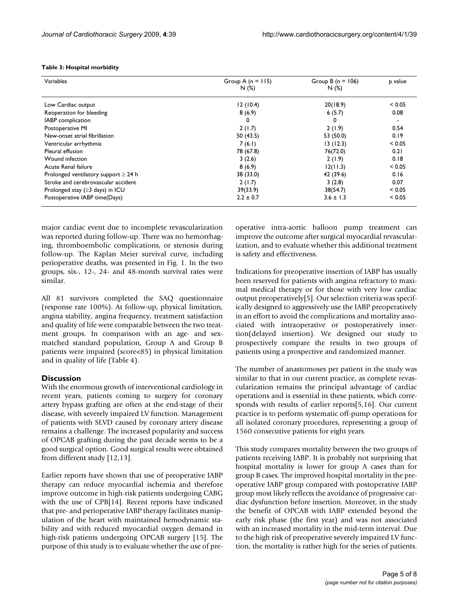#### **Table 3: Hospital morbidity**

| Variables                                 | Group A $(n = 115)$<br>N(%) | Group B ( $n = 106$ )<br>N(%) | p value |
|-------------------------------------------|-----------------------------|-------------------------------|---------|
| Low Cardiac output                        | 12(10.4)                    | 20(18.9)                      | < 0.05  |
| Reoperation for bleeding                  | 8(6.9)                      | 6(5.7)                        | 0.08    |
| IABP complication                         | 0                           | 0                             |         |
| Postoperative MI                          | 2(1.7)                      | 2(1.9)                        | 0.54    |
| New-onset atrial fibrillation             | 50 (43.5)                   | 53 (50.0)                     | 0.19    |
| Ventricular arrhythmia                    | 7(6.1)                      | 13(12.3)                      | < 0.05  |
| Pleural effusion                          | 78 (67.8)                   | 76(72.0)                      | 0.21    |
| Wound infection                           | 3(2.6)                      | 2(1.9)                        | 0.18    |
| Acute Renal failure                       | 8(6.9)                      | 12(11.3)                      | < 0.05  |
| Prolonged ventilatory support $\geq 24$ h | 38 (33.0)                   | 42 (39.6)                     | 0.16    |
| Stroke and cerebrovascular accident       | 2(1.7)                      | 3(2.8)                        | 0.07    |
| Prolonged stay ( $\geq$ 3 days) in ICU    | 39(33.9)                    | 38(54.7)                      | < 0.05  |
| Postoperative IABP time(Days)             | $2.2 \pm 0.7$               | $3.6 \pm 1.3$                 | < 0.05  |

major cardiac event due to incomplete revascularization was reported during follow-up. There was no hemorrhaging, thromboembolic complications, or stenosis during follow-up. The Kaplan Meier survival curve, including perioperative deaths, was presented in Fig. 1. In the two groups, six-, 12-, 24- and 48-month survival rates were similar.

All 81 survivors completed the SAQ questionnaire (response rate 100%). At follow-up, physical limitation, angina stability, angina frequency, treatment satisfaction and quality of life were comparable between the two treatment groups. In comparison with an age- and sexmatched standard population, Group A and Group B patients were impaired (score<85) in physical limitation and in quality of life (Table 4).

#### **Discussion**

With the enormous growth of interventional cardiology in recent years, patients coming to surgery for coronary artery bypass grafting are often at the end-stage of their disease, with severely impaired LV function. Management of patients with SLVD caused by coronary artery disease remains a challenge. The increased popularity and success of OPCAB grafting during the past decade seems to be a good surgical option. Good surgical results were obtained from different study [12,13].

Earlier reports have shown that use of preoperative IABP therapy can reduce myocardial ischemia and therefore improve outcome in high-risk patients undergoing CABG with the use of CPB[14]. Recent reports have indicated that pre- and perioperative IABP therapy facilitates manipulation of the heart with maintained hemodynamic stability and with reduced myocardial oxygen demand in high-risk patients undergoing OPCAB surgery [15]. The purpose of this study is to evaluate whether the use of preoperative intra-aortic balloon pump treatment can improve the outcome after surgical myocardial revascularization, and to evaluate whether this additional treatment is safety and effectiveness.

Indications for preoperative insertion of IABP has usually been reserved for patients with angina refractory to maximal medical therapy or for those with very low cardiac output preoperatively[5]. Our selection criteria was specifically designed to aggressively use the IABP preoperatively in an effort to avoid the complications and mortality associated with intraoperative or postoperatively insertion(delayed insertion). We designed our study to prospectively compare the results in two groups of patients using a prospective and randomized manner.

The number of anastomoses per patient in the study was similar to that in our current practice, as complete revascularization remains the principal advantage of cardiac operations and is essential in these patients, which corresponds with results of earlier reports[5,16]. Our current practice is to perform systematic off-pump operations for all isolated coronary procedures, representing a group of 1560 consecutive patients for eight years.

This study compares mortality between the two groups of patients receiving IABP. It is probably not surprising that hospital mortality is lower for group A cases than for group B cases. The improved hospital mortality in the preoperative IABP group compared with postoperative IABP group most likely reflects the avoidance of progressive cardiac dysfunction before insertion. Moreover, in the study the benefit of OPCAB with IABP extended beyond the early risk phase (the first year) and was not associated with an increased mortality in the mid-term interval. Due to the high risk of preoperative severely impaired LV function, the mortality is rather high for the series of patients.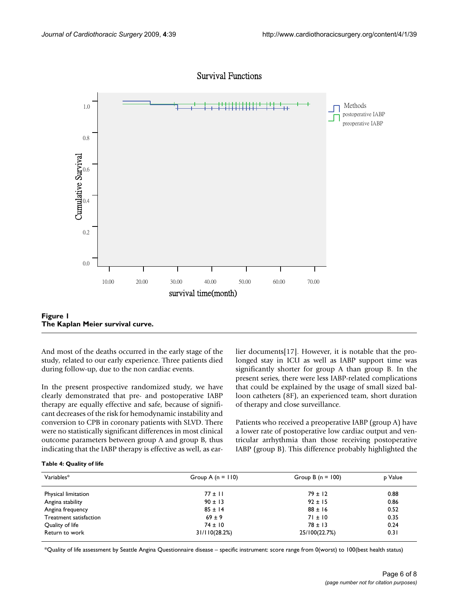

**Survival Functions** 

**Figure 1 The Kaplan Meier survival curve.**

And most of the deaths occurred in the early stage of the study, related to our early experience. Three patients died during follow-up, due to the non cardiac events.

In the present prospective randomized study, we have clearly demonstrated that pre- and postoperative IABP therapy are equally effective and safe, because of significant decreases of the risk for hemodynamic instability and conversion to CPB in coronary patients with SLVD. There were no statistically significant differences in most clinical outcome parameters between group A and group B, thus indicating that the IABP therapy is effective as well, as earlier documents[17]. However, it is notable that the prolonged stay in ICU as well as IABP support time was significantly shorter for group A than group B. In the present series, there were less IABP-related complications that could be explained by the usage of small sized balloon catheters (8F), an experienced team, short duration of therapy and close surveillance.

Patients who received a preoperative IABP (group A) have a lower rate of postoperative low cardiac output and ventricular arrhythmia than those receiving postoperative IABP (group B). This difference probably highlighted the

#### **Table 4: Quality of life**

| Variables*             | Group A $(n = 110)$ | Group B ( $n = 100$ ) | p Value |
|------------------------|---------------------|-----------------------|---------|
| Physical limitation    | $77 \pm 11$         | $79 \pm 12$           | 0.88    |
| Angina stability       | $90 \pm 13$         | $92 \pm 15$           | 0.86    |
| Angina frequency       | $85 \pm 14$         | $88 \pm 16$           | 0.52    |
| Treatment satisfaction | $69 \pm 9$          | $71 \pm 10$           | 0.35    |
| Quality of life        | $74 \pm 10$         | $78 \pm 13$           | 0.24    |
| Return to work         | 31/110(28.2%)       | 25/100(22.7%)         | 0.31    |

\*Quality of life assessment by Seattle Angina Questionnaire disease – specific instrument: score range from 0(worst) to 100(best health status)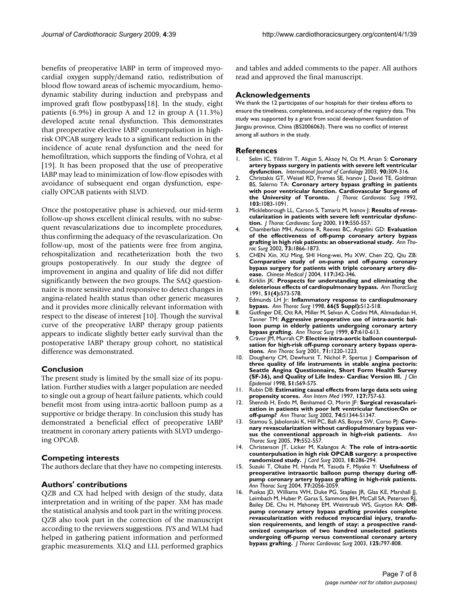benefits of preoperative IABP in term of improved myocardial oxygen supply/demand ratio, redistribution of blood flow toward areas of ischemic myocardium, hemodynamic stability during induction and prebypass and improved graft flow postbypass[18]. In the study, eight patients (6.9%) in group A and 12 in group A (11.3%) developed acute renal dysfunction. This demonstrates that preoperative elective IABP counterpulsation in highrisk OPCAB surgery leads to a significant reduction in the incidence of acute renal dysfunction and the need for hemofiltration, which supports the finding of Vohra, et al [19]. It has been proposed that the use of preoperative IABP may lead to minimization of low-flow episodes with avoidance of subsequent end organ dysfunction, especially OPCAB patients with SLVD.

Once the postoperative phase is achieved, our mid-term follow-up shows excellent clinical results, with no subsequent revascularizations due to incomplete procedures, thus confirming the adequacy of the revascularization. On follow-up, most of the patients were free from angina, rehospitalization and recatheterization both the two groups postoperatively. In our study the degree of improvement in angina and quality of life did not differ significantly between the two groups. The SAQ questionnaire is more sensitive and responsive to detect changes in angina-related health status than other generic measures and it provides more clinically relevant information with respect to the disease of interest [10]. Though the survival curve of the preoperative IABP therapy group patients appears to indicate slightly better early survival than the postoperative IABP therapy group cohort, no statistical difference was demonstrated.

# **Conclusion**

The present study is limited by the small size of its population. Further studies with a larger population are needed to single out a group of heart failure patients, which could benefit most from using intra-aortic balloon pump as a supportive or bridge therapy. In conclusion this study has demonstrated a beneficial effect of preoperative IABP treatment in coronary artery patients with SLVD undergoing OPCAB.

# **Competing interests**

The authors declare that they have no competing interests.

# **Authors' contributions**

QZB and CX had helped with design of the study, data interpretation and in writing of the paper. XM has made the statistical analysis and took part in the writing process. QZB also took part in the correction of the manuscript according to the reviewers suggestions. JYS and WLM had helped in gathering patient information and performed graphic measurements. XLQ and LLL performed graphics and tables and added comments to the paper. All authors read and approved the final manuscript.

# **Acknowledgements**

We thank the 12 participates of our hospitals for their tireless efforts to ensure the timeliness, completeness, and accuracy of the registry data. This study was supported by a grant from social development foundation of Jiangsu province, China (BS2006063). There was no conflict of interest among all authors in the study.

#### **References**

- 1. Selim IC, Yildirim T, Akgun S, Aksoy N, Oz M, Arsan S: **[Coronary](http://www.ncbi.nlm.nih.gov/entrez/query.fcgi?cmd=Retrieve&db=PubMed&dopt=Abstract&list_uids=12957767) [artery bypass surgery in patients with severe left ventricular](http://www.ncbi.nlm.nih.gov/entrez/query.fcgi?cmd=Retrieve&db=PubMed&dopt=Abstract&list_uids=12957767) [dysfunction.](http://www.ncbi.nlm.nih.gov/entrez/query.fcgi?cmd=Retrieve&db=PubMed&dopt=Abstract&list_uids=12957767)** *International Journal of Cardiology* 2003, **90:**309-316.
- 2. Christakis GT, Weisel RD, Fremes SE, Ivanov J, David TE, Goldman BS, Salerno TA: **[Coronary artery bypass grafting in patients](http://www.ncbi.nlm.nih.gov/entrez/query.fcgi?cmd=Retrieve&db=PubMed&dopt=Abstract&list_uids=1597972) [with poor ventricular function. Cardiovascular Surgeons of](http://www.ncbi.nlm.nih.gov/entrez/query.fcgi?cmd=Retrieve&db=PubMed&dopt=Abstract&list_uids=1597972) [the University of Toronto.](http://www.ncbi.nlm.nih.gov/entrez/query.fcgi?cmd=Retrieve&db=PubMed&dopt=Abstract&list_uids=1597972)** *J Thorac Cardiovasc Surg* 1992, **103:**1083-1091.
- 3. Mickleborough LL, Carson S, Tamariz M, Ivanov J: **[Results of revas](http://www.ncbi.nlm.nih.gov/entrez/query.fcgi?cmd=Retrieve&db=PubMed&dopt=Abstract&list_uids=10694616)[cularization in patients with severe left ventricular dysfunc](http://www.ncbi.nlm.nih.gov/entrez/query.fcgi?cmd=Retrieve&db=PubMed&dopt=Abstract&list_uids=10694616)[tion.](http://www.ncbi.nlm.nih.gov/entrez/query.fcgi?cmd=Retrieve&db=PubMed&dopt=Abstract&list_uids=10694616)** *J Thorac Cardiovasc Surg* 2000, **119:**550-557.
- 4. Chamberlain MH, Ascione R, Reeves BC, Angelini GD: **[Evaluation](http://www.ncbi.nlm.nih.gov/entrez/query.fcgi?cmd=Retrieve&db=PubMed&dopt=Abstract&list_uids=12078783) [of the effectiveness of off-pump coronary artery bypass](http://www.ncbi.nlm.nih.gov/entrez/query.fcgi?cmd=Retrieve&db=PubMed&dopt=Abstract&list_uids=12078783) [grafting in high risk patients: an observational study.](http://www.ncbi.nlm.nih.gov/entrez/query.fcgi?cmd=Retrieve&db=PubMed&dopt=Abstract&list_uids=12078783)** *Ann Thorac Surg* 2002, **73:**1866-1873.
- 5. CHEN Xin, XU Ming, SHI Hong-wei, Mu XW, Chen ZQ, Qiu ZB: **Comparative study of on-pump and off-pump coronary bypass surgery for patients with triple coronary artery disease.** *Chinese Medical J* 2004, **117:**342-346.
- 6. Kirklin JK: **Prospects for understanding and eliminating the deleterious effects of cardiopulmonary bypass.** *Ann ThoracSurg* 1991, **51(4):**573-578.
- 7. Edmunds LH Jr: **[Inflammatory response to cardiopulmonary](http://www.ncbi.nlm.nih.gov/entrez/query.fcgi?cmd=Retrieve&db=PubMed&dopt=Abstract&list_uids=9869435) [bypass.](http://www.ncbi.nlm.nih.gov/entrez/query.fcgi?cmd=Retrieve&db=PubMed&dopt=Abstract&list_uids=9869435)** *Ann Thorac Surg* 1998, **66(5 Suppl):**S12-S18.
- 8. Gutfinger DE, Ott RA, Miller M, Selvan A, Codini MA, Alimadadian H, Tanner TM: **[Aggressive preoperative use of intra-aortic bal](http://www.ncbi.nlm.nih.gov/entrez/query.fcgi?cmd=Retrieve&db=PubMed&dopt=Abstract&list_uids=10215196)[loon pump in elderly patients undergoing coronary artery](http://www.ncbi.nlm.nih.gov/entrez/query.fcgi?cmd=Retrieve&db=PubMed&dopt=Abstract&list_uids=10215196) [bypass grafting.](http://www.ncbi.nlm.nih.gov/entrez/query.fcgi?cmd=Retrieve&db=PubMed&dopt=Abstract&list_uids=10215196)** *Ann Thorac Surg* 1999, **67:**610-613.
- 9. Craver JM, Murrah CP: **[Elective intra-aortic balloon counterpul](http://www.ncbi.nlm.nih.gov/entrez/query.fcgi?cmd=Retrieve&db=PubMed&dopt=Abstract&list_uids=11308163)[sation for high-risk off-pump coronary artery bypass opera](http://www.ncbi.nlm.nih.gov/entrez/query.fcgi?cmd=Retrieve&db=PubMed&dopt=Abstract&list_uids=11308163)[tions.](http://www.ncbi.nlm.nih.gov/entrez/query.fcgi?cmd=Retrieve&db=PubMed&dopt=Abstract&list_uids=11308163)** *Ann Thorac Surg* 2001, **71:**1220-1223.
- 10. Dougherty CM, Dewhurst T, Nichol P, Spertus J: **[Comparison of](http://www.ncbi.nlm.nih.gov/entrez/query.fcgi?cmd=Retrieve&db=PubMed&dopt=Abstract&list_uids=9674663) [three quality of life instruments in stable angina pectoris:](http://www.ncbi.nlm.nih.gov/entrez/query.fcgi?cmd=Retrieve&db=PubMed&dopt=Abstract&list_uids=9674663) Seattle Angina Questionnaire, Short Form Health Survey [\(SF-36\), and Quality of Life Index- Cardiac Version III.](http://www.ncbi.nlm.nih.gov/entrez/query.fcgi?cmd=Retrieve&db=PubMed&dopt=Abstract&list_uids=9674663)** *J Clin Epidemiol* 1998, **51:**569-575.
- 11. Rubin DB: **[Estimating causal effects from large data sets using](http://www.ncbi.nlm.nih.gov/entrez/query.fcgi?cmd=Retrieve&db=PubMed&dopt=Abstract&list_uids=9382394) [propensity scores.](http://www.ncbi.nlm.nih.gov/entrez/query.fcgi?cmd=Retrieve&db=PubMed&dopt=Abstract&list_uids=9382394)** *Ann Intern Med* 1997, **127:**757-63.
- 12. Shennib H, Endo M, Benhamed O, Morin JF: **[Surgical revasculari](http://www.ncbi.nlm.nih.gov/entrez/query.fcgi?cmd=Retrieve&db=PubMed&dopt=Abstract&list_uids=12400814)[zation in patients with poor left ventricular function:On or](http://www.ncbi.nlm.nih.gov/entrez/query.fcgi?cmd=Retrieve&db=PubMed&dopt=Abstract&list_uids=12400814) [off-pump?](http://www.ncbi.nlm.nih.gov/entrez/query.fcgi?cmd=Retrieve&db=PubMed&dopt=Abstract&list_uids=12400814)** *Ann Thorac Surg* 2002, **74:**S1344-S1347.
- 13. Stamou S, Jabolonski K, Hill PC, Bafi AS, Boyce SW, Corso PJ: **[Coro](http://www.ncbi.nlm.nih.gov/entrez/query.fcgi?cmd=Retrieve&db=PubMed&dopt=Abstract&list_uids=15680833)[nary revascularization without cardiopulmonary bypass ver](http://www.ncbi.nlm.nih.gov/entrez/query.fcgi?cmd=Retrieve&db=PubMed&dopt=Abstract&list_uids=15680833)[sus the conventional approach in high-risk patients.](http://www.ncbi.nlm.nih.gov/entrez/query.fcgi?cmd=Retrieve&db=PubMed&dopt=Abstract&list_uids=15680833)** *Ann Thorac Surg* 2005, **79:**552-557.
- 14. Christenson JT, Licker M, Kalangos A: **[The role of intra-aortic](http://www.ncbi.nlm.nih.gov/entrez/query.fcgi?cmd=Retrieve&db=PubMed&dopt=Abstract&list_uids=12869172) [counterpulsation in high risk OPCAB surgery: a prospective](http://www.ncbi.nlm.nih.gov/entrez/query.fcgi?cmd=Retrieve&db=PubMed&dopt=Abstract&list_uids=12869172) [randomized study.](http://www.ncbi.nlm.nih.gov/entrez/query.fcgi?cmd=Retrieve&db=PubMed&dopt=Abstract&list_uids=12869172)** *J Card Surg* 2003, **18:**286-294.
- 15. Suzuki T, Okabe M, Handa M, Yasuda F, Miyake Y: **[Usefulness of](http://www.ncbi.nlm.nih.gov/entrez/query.fcgi?cmd=Retrieve&db=PubMed&dopt=Abstract&list_uids=15172264) [preoperative intraaortic balloon pump therapy during off](http://www.ncbi.nlm.nih.gov/entrez/query.fcgi?cmd=Retrieve&db=PubMed&dopt=Abstract&list_uids=15172264)pump coronary artery bypass grafting in high-risk patients.** *Ann Thorac Surg* 2004, **77:**2056-2059.
- 16. Puskas JD, Williams WH, Duke PG, Staples JR, Glas KE, Marshall JJ, Leimbach M, Huber P, Garas S, Sammons BH, McCall SA, Petersen RJ, Bailey DE, Chu H, Mahoney EM, Weintraub WS, Guyton RA: **[Off](http://www.ncbi.nlm.nih.gov/entrez/query.fcgi?cmd=Retrieve&db=PubMed&dopt=Abstract&list_uids=12698142)[pump coronary artery bypass grafting provides complete](http://www.ncbi.nlm.nih.gov/entrez/query.fcgi?cmd=Retrieve&db=PubMed&dopt=Abstract&list_uids=12698142) revascularization with reduced myocardial injury, transfusion requirements, and length of stay: a prospective randomized comparison of two hundred unselected patients undergoing off-pump versus conventional coronary artery [bypass grafting.](http://www.ncbi.nlm.nih.gov/entrez/query.fcgi?cmd=Retrieve&db=PubMed&dopt=Abstract&list_uids=12698142)** *J Thorac Cardiovasc Surg* 2003, **125:**797-808.